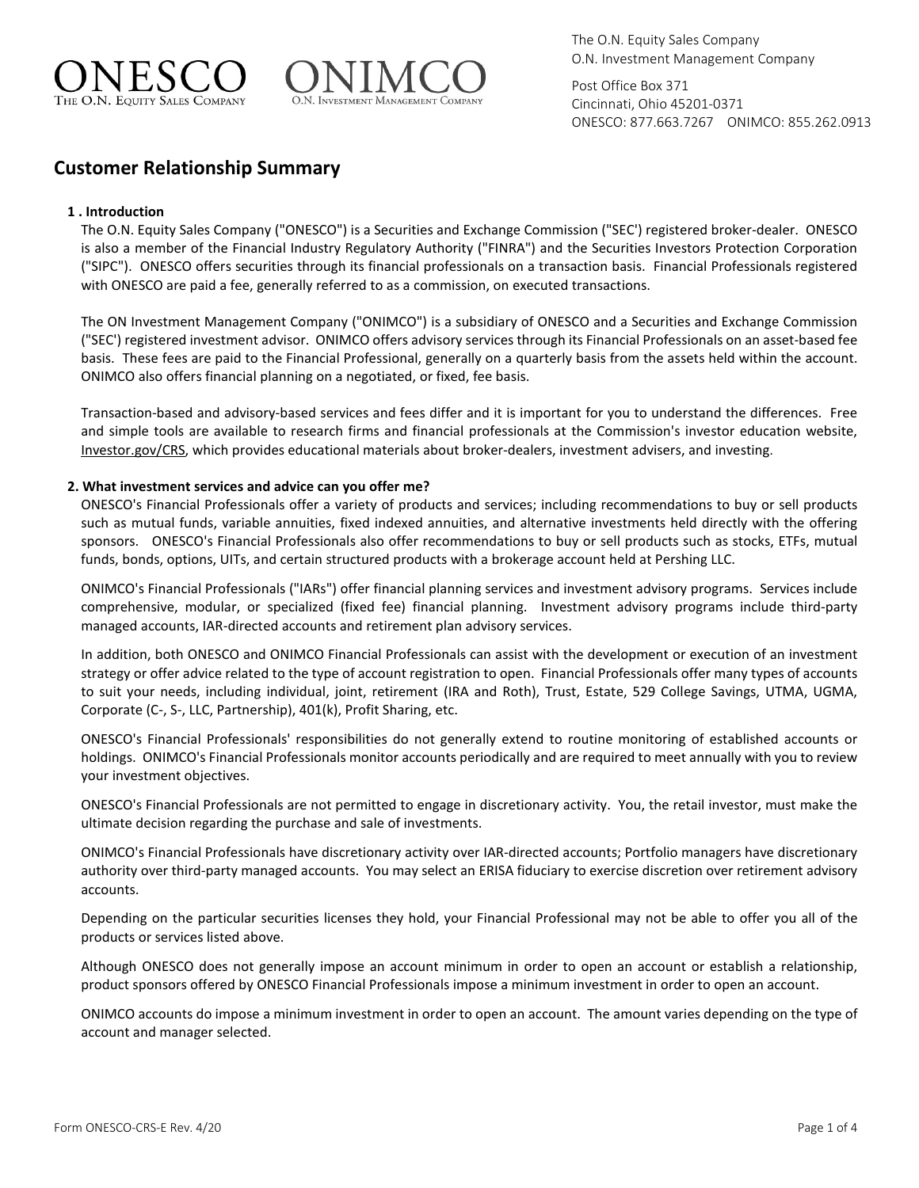



Post Office Box 371 Cincinnati, Ohio 45201-0371 ONESCO: 877.663.7267 ONIMCO: 855.262.0913

# **Customer Relationship Summary**

# **1 . Introduction**

The O.N. Equity Sales Company ("ONESCO") is a Securities and Exchange Commission ("SEC') registered broker-dealer. ONESCO is also a member of the Financial Industry Regulatory Authority ("FINRA") and the Securities Investors Protection Corporation ("SIPC"). ONESCO offers securities through its financial professionals on a transaction basis. Financial Professionals registered with ONESCO are paid a fee, generally referred to as a commission, on executed transactions.

The ON Investment Management Company ("ONIMCO") is a subsidiary of ONESCO and a Securities and Exchange Commission ("SEC') registered investment advisor. ONIMCO offers advisory services through its Financial Professionals on an asset-based fee basis. These fees are paid to the Financial Professional, generally on a quarterly basis from the assets held within the account. ONIMCO also offers financial planning on a negotiated, or fixed, fee basis.

Transaction-based and advisory-based services and fees differ and it is important for you to understand the differences. Free and simple tools are available to research firms and financial professionals at the Commission's investor education website, Investor.gov/CRS, which provides educational materials about broker-dealers, investment advisers, and investing.

# **2. What investment services and advice can you offer me?**

ONESCO's Financial Professionals offer a variety of products and services; including recommendations to buy or sell products such as mutual funds, variable annuities, fixed indexed annuities, and alternative investments held directly with the offering sponsors. ONESCO's Financial Professionals also offer recommendations to buy or sell products such as stocks, ETFs, mutual funds, bonds, options, UITs, and certain structured products with a brokerage account held at Pershing LLC.

ONIMCO's Financial Professionals ("IARs") offer financial planning services and investment advisory programs. Services include comprehensive, modular, or specialized (fixed fee) financial planning. Investment advisory programs include third-party managed accounts, IAR-directed accounts and retirement plan advisory services.

In addition, both ONESCO and ONIMCO Financial Professionals can assist with the development or execution of an investment strategy or offer advice related to the type of account registration to open. Financial Professionals offer many types of accounts to suit your needs, including individual, joint, retirement (IRA and Roth), Trust, Estate, 529 College Savings, UTMA, UGMA, Corporate (C-, S-, LLC, Partnership), 401(k), Profit Sharing, etc.

ONESCO's Financial Professionals' responsibilities do not generally extend to routine monitoring of established accounts or holdings. ONIMCO's Financial Professionals monitor accounts periodically and are required to meet annually with you to review your investment objectives.

ONESCO's Financial Professionals are not permitted to engage in discretionary activity. You, the retail investor, must make the ultimate decision regarding the purchase and sale of investments.

ONIMCO's Financial Professionals have discretionary activity over IAR-directed accounts; Portfolio managers have discretionary authority over third-party managed accounts. You may select an ERISA fiduciary to exercise discretion over retirement advisory accounts.

Depending on the particular securities licenses they hold, your Financial Professional may not be able to offer you all of the products or services listed above.

Although ONESCO does not generally impose an account minimum in order to open an account or establish a relationship, product sponsors offered by ONESCO Financial Professionals impose a minimum investment in order to open an account.

ONIMCO accounts do impose a minimum investment in order to open an account. The amount varies depending on the type of account and manager selected.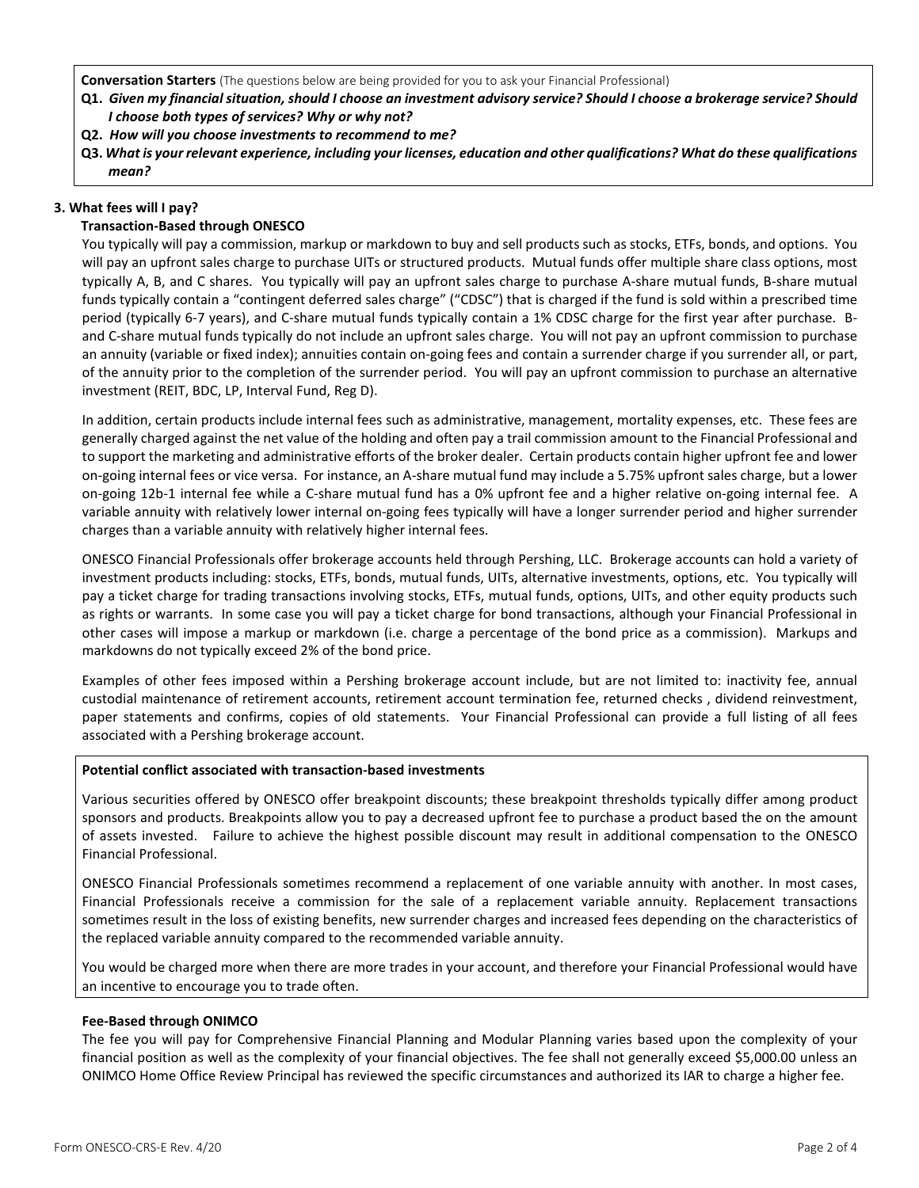**Conversation Starters** (The questions below are being provided for you to ask your Financial Professional)

- **Q1.** *Given my financial situation, should I choose an investment advisory service? Should I choose a brokerage service? Should* *I choose both types of services? Why or why not?*
- **Q2.** *How will you choose investments to recommend to me?*
- **Q3.** *What is your relevant experience, including your licenses, education and other qualifications? What do these qualifications mean?*

## **3. What fees will I pay?**

# **Transaction-Based through ONESCO**

You typically will pay a commission, markup or markdown to buy and sell products such as stocks, ETFs, bonds, and options. You will pay an upfront sales charge to purchase UITs or structured products. Mutual funds offer multiple share class options, most typically A, B, and C shares. You typically will pay an upfront sales charge to purchase A-share mutual funds, B-share mutual funds typically contain a "contingent deferred sales charge" ("CDSC") that is charged if the fund is sold within a prescribed time period (typically 6-7 years), and C-share mutual funds typically contain a 1% CDSC charge for the first year after purchase. Band C-share mutual funds typically do not include an upfront sales charge. You will not pay an upfront commission to purchase an annuity (variable or fixed index); annuities contain on-going fees and contain a surrender charge if you surrender all, or part, of the annuity prior to the completion of the surrender period. You will pay an upfront commission to purchase an alternative investment (REIT, BDC, LP, Interval Fund, Reg D).

In addition, certain products include internal fees such as administrative, management, mortality expenses, etc. These fees are generally charged against the net value of the holding and often pay a trail commission amount to the Financial Professional and to support the marketing and administrative efforts of the broker dealer. Certain products contain higher upfront fee and lower on-going internal fees or vice versa. For instance, an A-share mutual fund may include a 5.75% upfront sales charge, but a lower on-going 12b-1 internal fee while a C-share mutual fund has a 0% upfront fee and a higher relative on-going internal fee. A variable annuity with relatively lower internal on-going fees typically will have a longer surrender period and higher surrender charges than a variable annuity with relatively higher internal fees.

ONESCO Financial Professionals offer brokerage accounts held through Pershing, LLC. Brokerage accounts can hold a variety of investment products including: stocks, ETFs, bonds, mutual funds, UITs, alternative investments, options, etc. You typically will pay a ticket charge for trading transactions involving stocks, ETFs, mutual funds, options, UITs, and other equity products such as rights or warrants. In some case you will pay a ticket charge for bond transactions, although your Financial Professional in other cases will impose a markup or markdown (i.e. charge a percentage of the bond price as a commission). Markups and markdowns do not typically exceed 2% of the bond price.

Examples of other fees imposed within a Pershing brokerage account include, but are not limited to: inactivity fee, annual custodial maintenance of retirement accounts, retirement account termination fee, returned checks , dividend reinvestment, paper statements and confirms, copies of old statements. Your Financial Professional can provide a full listing of all fees associated with a Pershing brokerage account.

#### **Potential conflict associated with transaction-based investments**

Various securities offered by ONESCO offer breakpoint discounts; these breakpoint thresholds typically differ among product sponsors and products. Breakpoints allow you to pay a decreased upfront fee to purchase a product based the on the amount of assets invested. Failure to achieve the highest possible discount may result in additional compensation to the ONESCO Financial Professional.

ONESCO Financial Professionals sometimes recommend a replacement of one variable annuity with another. In most cases, Financial Professionals receive a commission for the sale of a replacement variable annuity. Replacement transactions sometimes result in the loss of existing benefits, new surrender charges and increased fees depending on the characteristics of the replaced variable annuity compared to the recommended variable annuity.

You would be charged more when there are more trades in your account, and therefore your Financial Professional would have an incentive to encourage you to trade often.

#### **Fee-Based through ONIMCO**

The fee you will pay for Comprehensive Financial Planning and Modular Planning varies based upon the complexity of your financial position as well as the complexity of your financial objectives. The fee shall not generally exceed \$5,000.00 unless an ONIMCO Home Office Review Principal has reviewed the specific circumstances and authorized its IAR to charge a higher fee.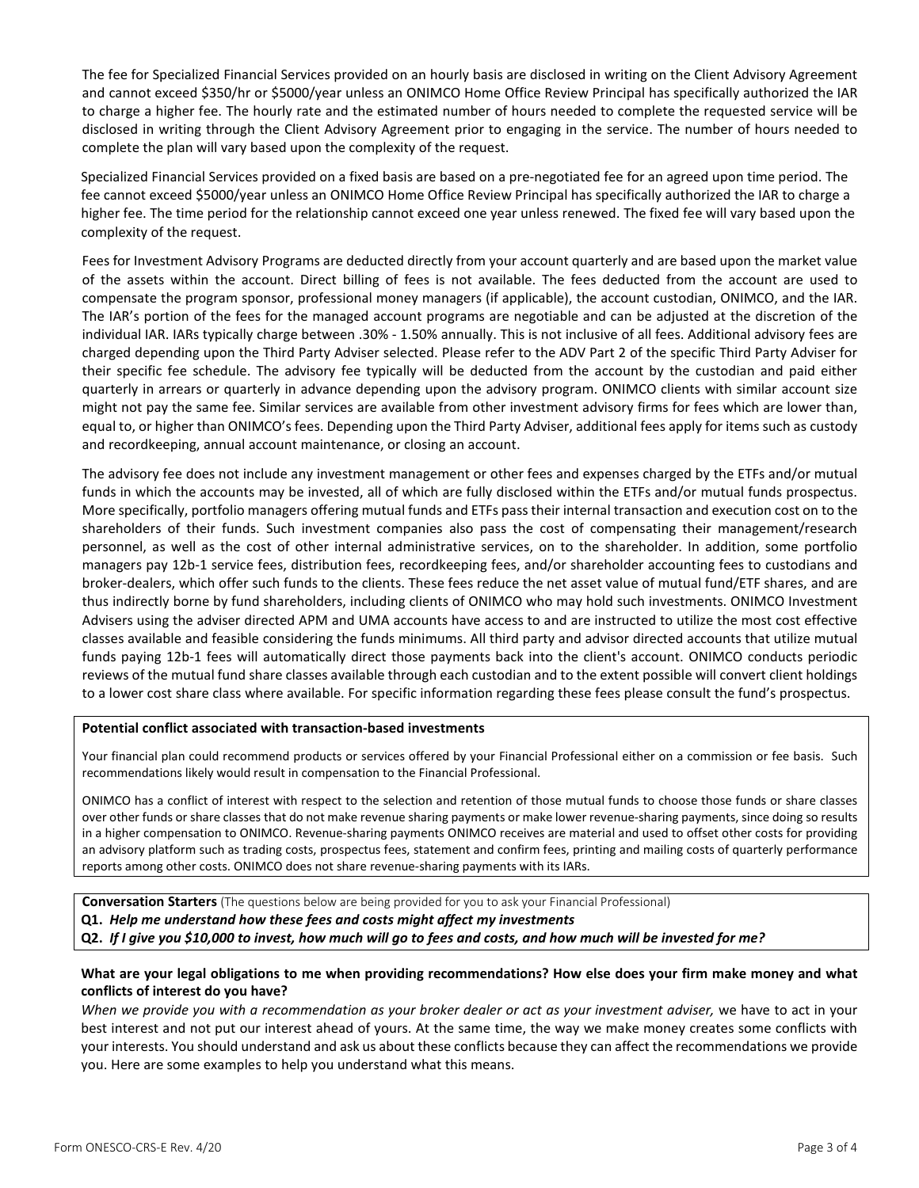The fee for Specialized Financial Services provided on an hourly basis are disclosed in writing on the Client Advisory Agreement and cannot exceed \$350/hr or \$5000/year unless an ONIMCO Home Office Review Principal has specifically authorized the IAR to charge a higher fee. The hourly rate and the estimated number of hours needed to complete the requested service will be disclosed in writing through the Client Advisory Agreement prior to engaging in the service. The number of hours needed to complete the plan will vary based upon the complexity of the request.

Specialized Financial Services provided on a fixed basis are based on a pre-negotiated fee for an agreed upon time period. The fee cannot exceed \$5000/year unless an ONIMCO Home Office Review Principal has specifically authorized the IAR to charge a higher fee. The time period for the relationship cannot exceed one year unless renewed. The fixed fee will vary based upon the complexity of the request.

Fees for Investment Advisory Programs are deducted directly from your account quarterly and are based upon the market value of the assets within the account. Direct billing of fees is not available. The fees deducted from the account are used to compensate the program sponsor, professional money managers (if applicable), the account custodian, ONIMCO, and the IAR. The IAR's portion of the fees for the managed account programs are negotiable and can be adjusted at the discretion of the individual IAR. IARs typically charge between .30% - 1.50% annually. This is not inclusive of all fees. Additional advisory fees are charged depending upon the Third Party Adviser selected. Please refer to the ADV Part 2 of the specific Third Party Adviser for their specific fee schedule. The advisory fee typically will be deducted from the account by the custodian and paid either quarterly in arrears or quarterly in advance depending upon the advisory program. ONIMCO clients with similar account size might not pay the same fee. Similar services are available from other investment advisory firms for fees which are lower than, equal to, or higher than ONIMCO's fees. Depending upon the Third Party Adviser, additional fees apply for items such as custody and recordkeeping, annual account maintenance, or closing an account.

The advisory fee does not include any investment management or other fees and expenses charged by the ETFs and/or mutual funds in which the accounts may be invested, all of which are fully disclosed within the ETFs and/or mutual funds prospectus. More specifically, portfolio managers offering mutual funds and ETFs pass their internal transaction and execution cost on to the shareholders of their funds. Such investment companies also pass the cost of compensating their management/research personnel, as well as the cost of other internal administrative services, on to the shareholder. In addition, some portfolio managers pay 12b-1 service fees, distribution fees, recordkeeping fees, and/or shareholder accounting fees to custodians and broker-dealers, which offer such funds to the clients. These fees reduce the net asset value of mutual fund/ETF shares, and are thus indirectly borne by fund shareholders, including clients of ONIMCO who may hold such investments. ONIMCO Investment Advisers using the adviser directed APM and UMA accounts have access to and are instructed to utilize the most cost effective classes available and feasible considering the funds minimums. All third party and advisor directed accounts that utilize mutual funds paying 12b-1 fees will automatically direct those payments back into the client's account. ONIMCO conducts periodic reviews of the mutual fund share classes available through each custodian and to the extent possible will convert client holdings to a lower cost share class where available. For specific information regarding these fees please consult the fund's prospectus.

#### **Potential conflict associated with transaction-based investments**

Your financial plan could recommend products or services offered by your Financial Professional either on a commission or fee basis. Such recommendations likely would result in compensation to the Financial Professional.

ONIMCO has a conflict of interest with respect to the selection and retention of those mutual funds to choose those funds or share classes over other funds or share classes that do not make revenue sharing payments or make lower revenue-sharing payments, since doing so results in a higher compensation to ONIMCO. Revenue-sharing payments ONIMCO receives are material and used to offset other costs for providing an advisory platform such as trading costs, prospectus fees, statement and confirm fees, printing and mailing costs of quarterly performance reports among other costs. ONIMCO does not share revenue-sharing payments with its IARs.

**Conversation Starters** (The questions below are being provided for you to ask your Financial Professional)

- **Q1.** *Help me understand how these fees and costs might affect my investments*
- **Q2.** *If I give you \$10,000 to invest, how much will go to fees and costs, and how much will be invested for me?*

## **What are your legal obligations to me when providing recommendations? How else does your firm make money and what conflicts of interest do you have?**

*When we provide you with a recommendation as your broker dealer or act as your investment adviser,* we have to act in your best interest and not put our interest ahead of yours. At the same time, the way we make money creates some conflicts with your interests. You should understand and ask us about these conflicts because they can affect the recommendations we provide you. Here are some examples to help you understand what this means.